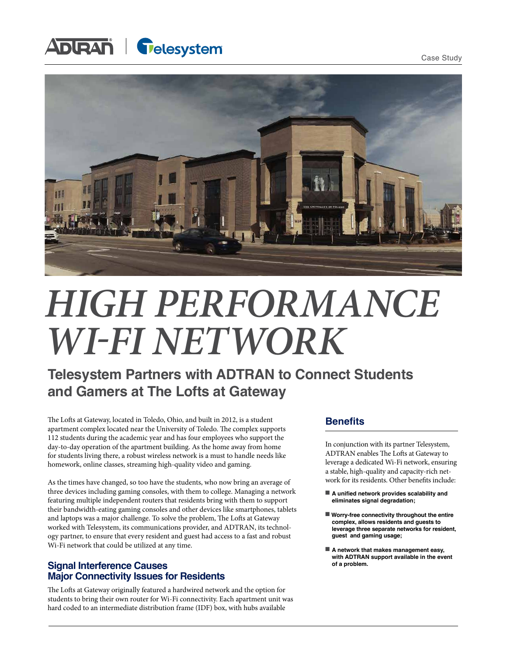Case Study

## **ADURAN Gelesystem**



# *HIGH PERFORMANCE WI-FI NETWORK*

### **Telesystem Partners with ADTRAN to Connect Students and Gamers at The Lofts at Gateway**

The Lofts at Gateway, located in Toledo, Ohio, and built in 2012, is a student apartment complex located near the University of Toledo. The complex supports 112 students during the academic year and has four employees who support the day-to-day operation of the apartment building. As the home away from home for students living there, a robust wireless network is a must to handle needs like homework, online classes, streaming high-quality video and gaming.

As the times have changed, so too have the students, who now bring an average of three devices including gaming consoles, with them to college. Managing a network featuring multiple independent routers that residents bring with them to support their bandwidth-eating gaming consoles and other devices like smartphones, tablets and laptops was a major challenge. To solve the problem, The Lofts at Gateway worked with Telesystem, its communications provider, and ADTRAN, its technology partner, to ensure that every resident and guest had access to a fast and robust Wi-Fi network that could be utilized at any time.

### **Signal Interference Causes Major Connectivity Issues for Residents**

The Lofts at Gateway originally featured a hardwired network and the option for students to bring their own router for Wi-Fi connectivity. Each apartment unit was hard coded to an intermediate distribution frame (IDF) box, with hubs available

#### **Benefits**

In conjunction with its partner Telesystem, ADTRAN enables The Lofts at Gateway to leverage a dedicated Wi-Fi network, ensuring a stable, high-quality and capacity-rich network for its residents. Other benefits include:

- A unified network provides scalability and **eliminates signal degradation;**
- Worry-free connectivity throughout the entire **complex, allows residents and guests to leverage three separate networks for resident, guest and gaming usage;**
- A network that makes management easy, **with ADTRAN support available in the event of a problem.**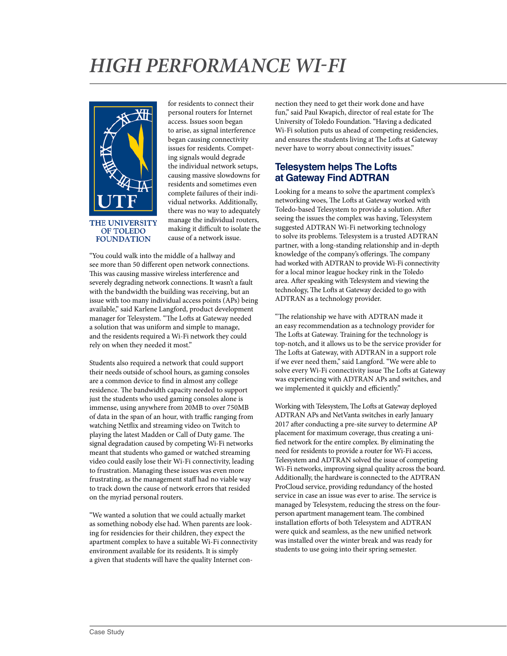### *HIGH PERFORMANCE WI-FI*



for residents to connect their personal routers for Internet access. Issues soon began to arise, as signal interference began causing connectivity issues for residents. Competing signals would degrade the individual network setups, causing massive slowdowns for residents and sometimes even complete failures of their individual networks. Additionally, there was no way to adequately manage the individual routers, making it difficult to isolate the cause of a network issue.

"You could walk into the middle of a hallway and see more than 50 different open network connections. This was causing massive wireless interference and severely degrading network connections. It wasn't a fault with the bandwidth the building was receiving, but an issue with too many individual access points (APs) being available," said Karlene Langford, product development manager for Telesystem. "The Lofts at Gateway needed a solution that was uniform and simple to manage, and the residents required a Wi-Fi network they could rely on when they needed it most."

Students also required a network that could support their needs outside of school hours, as gaming consoles are a common device to find in almost any college residence. The bandwidth capacity needed to support just the students who used gaming consoles alone is immense, using anywhere from 20MB to over 750MB of data in the span of an hour, with traffic ranging from watching Netflix and streaming video on Twitch to playing the latest Madden or Call of Duty game. The signal degradation caused by competing Wi-Fi networks meant that students who gamed or watched streaming video could easily lose their Wi-Fi connectivity, leading to frustration. Managing these issues was even more frustrating, as the management staff had no viable way to track down the cause of network errors that resided on the myriad personal routers.

"We wanted a solution that we could actually market as something nobody else had. When parents are looking for residencies for their children, they expect the apartment complex to have a suitable Wi-Fi connectivity environment available for its residents. It is simply a given that students will have the quality Internet connection they need to get their work done and have fun," said Paul Kwapich, director of real estate for The University of Toledo Foundation. "Having a dedicated Wi-Fi solution puts us ahead of competing residencies, and ensures the students living at The Lofts at Gateway never have to worry about connectivity issues."

### **Telesystem helps The Lofts at Gateway Find ADTRAN**

Looking for a means to solve the apartment complex's networking woes, The Lofts at Gateway worked with Toledo-based Telesystem to provide a solution. After seeing the issues the complex was having, Telesystem suggested ADTRAN Wi-Fi networking technology to solve its problems. Telesystem is a trusted ADTRAN partner, with a long-standing relationship and in-depth knowledge of the company's offerings. The company had worked with ADTRAN to provide Wi-Fi connectivity for a local minor league hockey rink in the Toledo area. After speaking with Telesystem and viewing the technology, The Lofts at Gateway decided to go with ADTRAN as a technology provider.

"The relationship we have with ADTRAN made it an easy recommendation as a technology provider for The Lofts at Gateway. Training for the technology is top-notch, and it allows us to be the service provider for The Lofts at Gateway, with ADTRAN in a support role if we ever need them," said Langford. "We were able to solve every Wi-Fi connectivity issue The Lofts at Gateway was experiencing with ADTRAN APs and switches, and we implemented it quickly and efficiently."

Working with Telesystem, The Lofts at Gateway deployed ADTRAN APs and NetVanta switches in early January 2017 after conducting a pre-site survey to determine AP placement for maximum coverage, thus creating a unified network for the entire complex. By eliminating the need for residents to provide a router for Wi-Fi access, Telesystem and ADTRAN solved the issue of competing Wi-Fi networks, improving signal quality across the board. Additionally, the hardware is connected to the ADTRAN ProCloud service, providing redundancy of the hosted service in case an issue was ever to arise. The service is managed by Telesystem, reducing the stress on the fourperson apartment management team. The combined installation efforts of both Telesystem and ADTRAN were quick and seamless, as the new unified network was installed over the winter break and was ready for students to use going into their spring semester.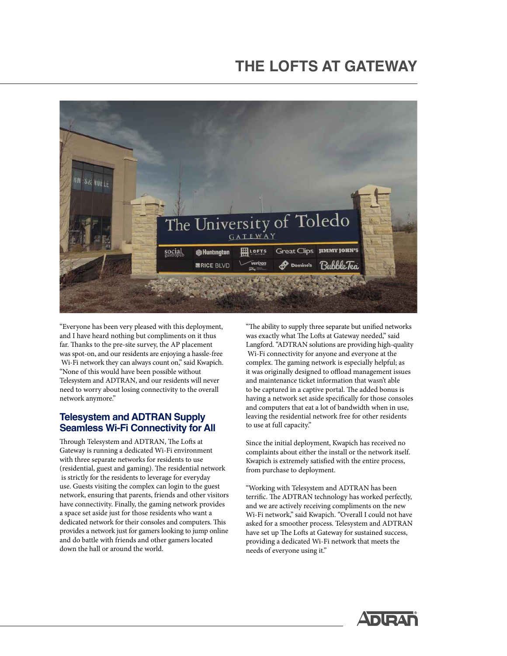### **THE LOFTS AT GATEWAY**



"Everyone has been very pleased with this deployment, and I have heard nothing but compliments on it thus far. Thanks to the pre-site survey, the AP placement was spot-on, and our residents are enjoying a hassle-free Wi-Fi network they can always count on," said Kwapich. "None of this would have been possible without Telesystem and ADTRAN, and our residents will never need to worry about losing connectivity to the overall network anymore."

#### **Telesystem and ADTRAN Supply Seamless Wi-Fi Connectivity for All**

Through Telesystem and ADTRAN, The Lofts at Gateway is running a dedicated Wi-Fi environment with three separate networks for residents to use (residential, guest and gaming). The residential network is strictly for the residents to leverage for everyday use. Guests visiting the complex can login to the guest network, ensuring that parents, friends and other visitors have connectivity. Finally, the gaming network provides a space set aside just for those residents who want a dedicated network for their consoles and computers. This provides a network just for gamers looking to jump online and do battle with friends and other gamers located down the hall or around the world.

"The ability to supply three separate but unified networks was exactly what The Lofts at Gateway needed," said Langford. "ADTRAN solutions are providing high-quality Wi-Fi connectivity for anyone and everyone at the complex. The gaming network is especially helpful; as it was originally designed to offload management issues and maintenance ticket information that wasn't able to be captured in a captive portal. The added bonus is having a network set aside specifically for those consoles and computers that eat a lot of bandwidth when in use, leaving the residential network free for other residents to use at full capacity."

Since the initial deployment, Kwapich has received no complaints about either the install or the network itself. Kwapich is extremely satisfied with the entire process, from purchase to deployment.

"Working with Telesystem and ADTRAN has been terrific. The ADTRAN technology has worked perfectly, and we are actively receiving compliments on the new Wi-Fi network," said Kwapich. "Overall I could not have asked for a smoother process. Telesystem and ADTRAN have set up The Lofts at Gateway for sustained success, providing a dedicated Wi-Fi network that meets the needs of everyone using it."